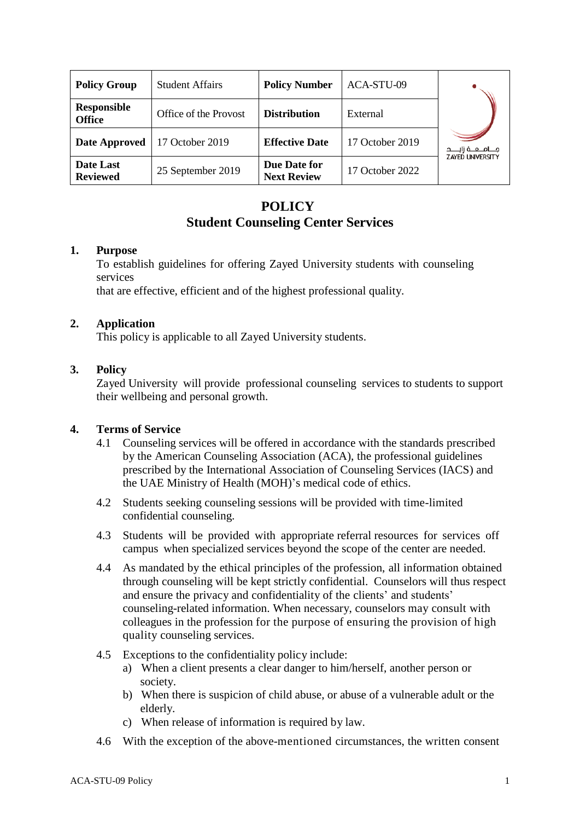| <b>Policy Group</b>                 | <b>Student Affairs</b> | <b>Policy Number</b>               | ACA-STU-09      |                         |
|-------------------------------------|------------------------|------------------------------------|-----------------|-------------------------|
| <b>Responsible</b><br><b>Office</b> | Office of the Provost  | <b>Distribution</b>                | External        |                         |
| Date Approved                       | 17 October 2019        | <b>Effective Date</b>              | 17 October 2019 | جــــامـــعــــة زايــ  |
| Date Last<br><b>Reviewed</b>        | 25 September 2019      | Due Date for<br><b>Next Review</b> | 17 October 2022 | <b>ZAYED UNIVERSITY</b> |

# **POLICY Student Counseling Center Services**

### **1. Purpose**

To establish guidelines for offering Zayed University students with counseling services

that are effective, efficient and of the highest professional quality.

## **2. Application**

This policy is applicable to all Zayed University students.

## **3. Policy**

Zayed University will provide professional counseling services to students to support their wellbeing and personal growth.

## **4. Terms of Service**

- 4.1 Counseling services will be offered in accordance with the standards prescribed by the American Counseling Association (ACA), the professional guidelines prescribed by the International Association of Counseling Services (IACS) and the UAE Ministry of Health (MOH)'s medical code of ethics.
- 4.2 Students seeking counseling sessions will be provided with time-limited confidential counseling.
- 4.3 Students will be provided with appropriate referral resources for services off campus when specialized services beyond the scope of the center are needed.
- 4.4 As mandated by the ethical principles of the profession, all information obtained through counseling will be kept strictly confidential. Counselors will thus respect and ensure the privacy and confidentiality of the clients' and students' counseling-related information. When necessary, counselors may consult with colleagues in the profession for the purpose of ensuring the provision of high quality counseling services.
- 4.5 Exceptions to the confidentiality policy include:
	- a) When a client presents a clear danger to him/herself, another person or society.
	- b) When there is suspicion of child abuse, or abuse of a vulnerable adult or the elderly.
	- c) When release of information is required by law.
- 4.6 With the exception of the above-mentioned circumstances, the written consent